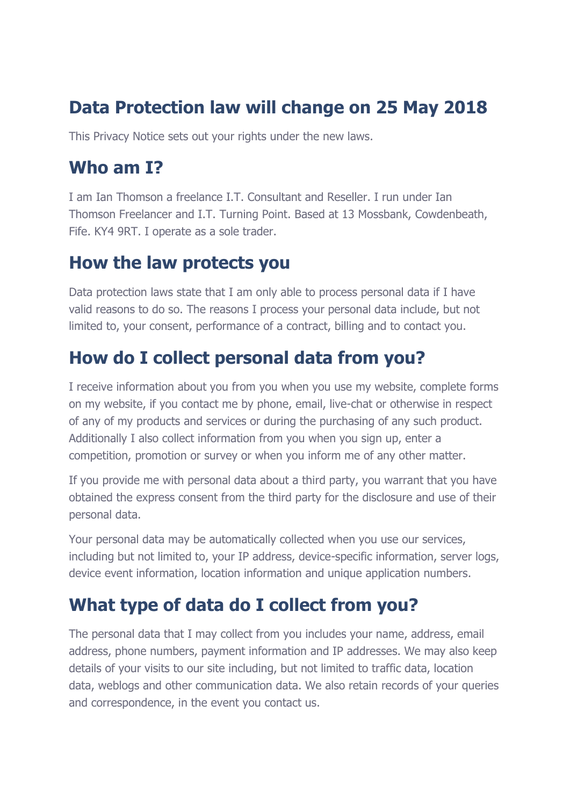### **Data Protection law will change on 25 May 2018**

This Privacy Notice sets out your rights under the new laws.

#### **Who am I?**

I am Ian Thomson a freelance I.T. Consultant and Reseller. I run under Ian Thomson Freelancer and I.T. Turning Point. Based at 13 Mossbank, Cowdenbeath, Fife. KY4 9RT. I operate as a sole trader.

### **How the law protects you**

Data protection laws state that I am only able to process personal data if I have valid reasons to do so. The reasons I process your personal data include, but not limited to, your consent, performance of a contract, billing and to contact you.

### **How do I collect personal data from you?**

I receive information about you from you when you use my website, complete forms on my website, if you contact me by phone, email, live-chat or otherwise in respect of any of my products and services or during the purchasing of any such product. Additionally I also collect information from you when you sign up, enter a competition, promotion or survey or when you inform me of any other matter.

If you provide me with personal data about a third party, you warrant that you have obtained the express consent from the third party for the disclosure and use of their personal data.

Your personal data may be automatically collected when you use our services, including but not limited to, your IP address, device-specific information, server logs, device event information, location information and unique application numbers.

### **What type of data do I collect from you?**

The personal data that I may collect from you includes your name, address, email address, phone numbers, payment information and IP addresses. We may also keep details of your visits to our site including, but not limited to traffic data, location data, weblogs and other communication data. We also retain records of your queries and correspondence, in the event you contact us.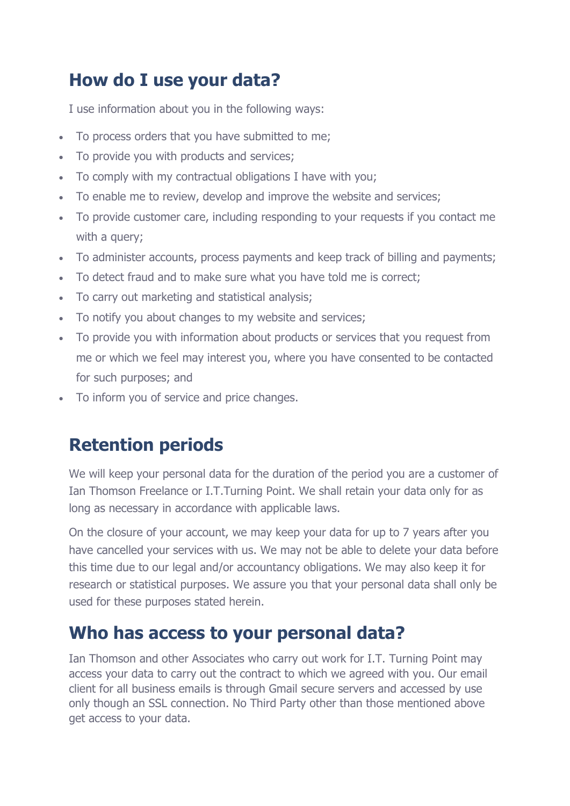### **How do I use your data?**

I use information about you in the following ways:

- To process orders that you have submitted to me;
- To provide you with products and services;
- To comply with my contractual obligations I have with you;
- To enable me to review, develop and improve the website and services;
- To provide customer care, including responding to your requests if you contact me with a query;
- To administer accounts, process payments and keep track of billing and payments;
- To detect fraud and to make sure what you have told me is correct;
- To carry out marketing and statistical analysis;
- To notify you about changes to my website and services;
- To provide you with information about products or services that you request from me or which we feel may interest you, where you have consented to be contacted for such purposes; and
- To inform you of service and price changes.

### **Retention periods**

We will keep your personal data for the duration of the period you are a customer of Ian Thomson Freelance or I.T.Turning Point. We shall retain your data only for as long as necessary in accordance with applicable laws.

On the closure of your account, we may keep your data for up to 7 years after you have cancelled your services with us. We may not be able to delete your data before this time due to our legal and/or accountancy obligations. We may also keep it for research or statistical purposes. We assure you that your personal data shall only be used for these purposes stated herein.

### **Who has access to your personal data?**

Ian Thomson and other Associates who carry out work for I.T. Turning Point may access your data to carry out the contract to which we agreed with you. Our email client for all business emails is through Gmail secure servers and accessed by use only though an SSL connection. No Third Party other than those mentioned above get access to your data.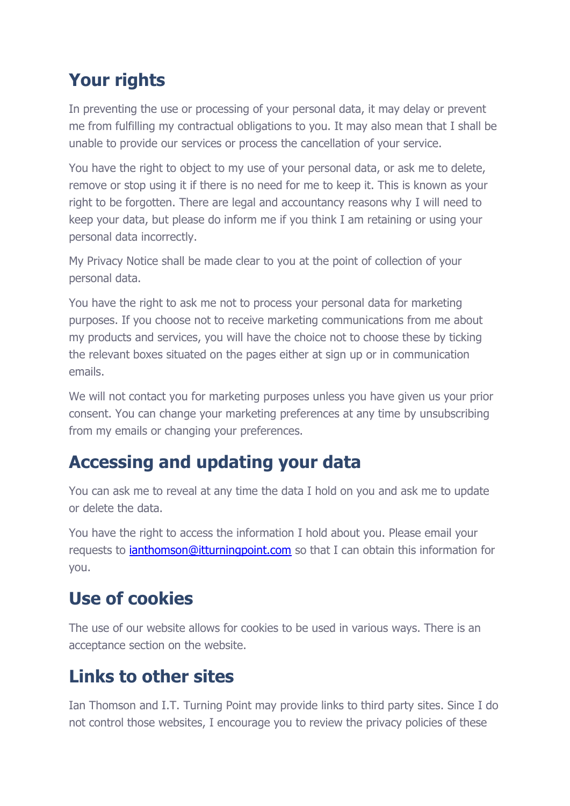## **Your rights**

In preventing the use or processing of your personal data, it may delay or prevent me from fulfilling my contractual obligations to you. It may also mean that I shall be unable to provide our services or process the cancellation of your service.

You have the right to object to my use of your personal data, or ask me to delete, remove or stop using it if there is no need for me to keep it. This is known as your right to be forgotten. There are legal and accountancy reasons why I will need to keep your data, but please do inform me if you think I am retaining or using your personal data incorrectly.

My Privacy Notice shall be made clear to you at the point of collection of your personal data.

You have the right to ask me not to process your personal data for marketing purposes. If you choose not to receive marketing communications from me about my products and services, you will have the choice not to choose these by ticking the relevant boxes situated on the pages either at sign up or in communication emails.

We will not contact you for marketing purposes unless you have given us your prior consent. You can change your marketing preferences at any time by unsubscribing from my emails or changing your preferences.

### **Accessing and updating your data**

You can ask me to reveal at any time the data I hold on you and ask me to update or delete the data.

You have the right to access the information I hold about you. Please email your requests to *[ianthomson@itturningpoint.com](mailto:ianthomson@itturningpoint.com)* so that I can obtain this information for you.

### **Use of cookies**

The use of our website allows for cookies to be used in various ways. There is an acceptance section on the website.

### **Links to other sites**

Ian Thomson and I.T. Turning Point may provide links to third party sites. Since I do not control those websites, I encourage you to review the privacy policies of these